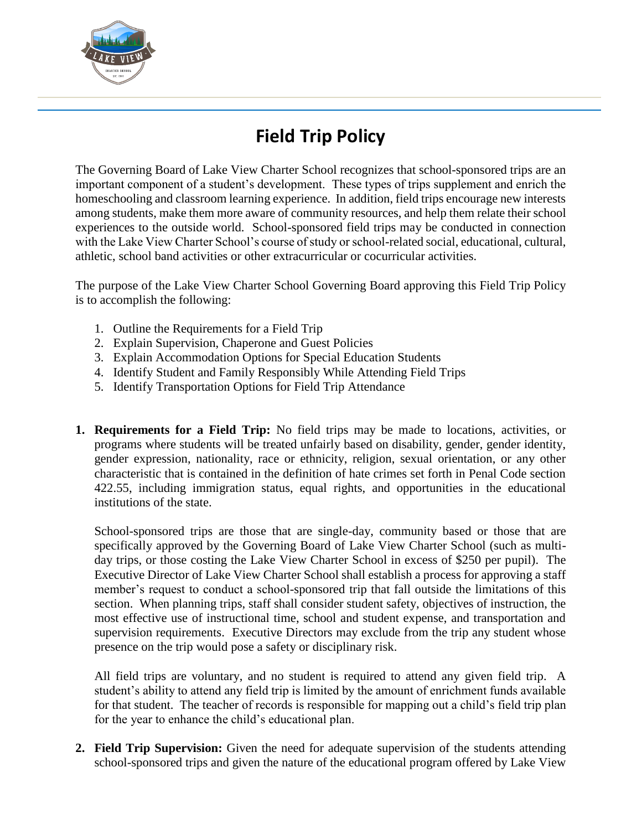

## **Field Trip Policy**

The Governing Board of Lake View Charter School recognizes that school-sponsored trips are an important component of a student's development. These types of trips supplement and enrich the homeschooling and classroom learning experience. In addition, field trips encourage new interests among students, make them more aware of community resources, and help them relate their school experiences to the outside world. School-sponsored field trips may be conducted in connection with the Lake View Charter School's course of study or school-related social, educational, cultural, athletic, school band activities or other extracurricular or cocurricular activities.

The purpose of the Lake View Charter School Governing Board approving this Field Trip Policy is to accomplish the following:

- 1. Outline the Requirements for a Field Trip
- 2. Explain Supervision, Chaperone and Guest Policies
- 3. Explain Accommodation Options for Special Education Students
- 4. Identify Student and Family Responsibly While Attending Field Trips
- 5. Identify Transportation Options for Field Trip Attendance
- **1. Requirements for a Field Trip:** No field trips may be made to locations, activities, or programs where students will be treated unfairly based on disability, gender, gender identity, gender expression, nationality, race or ethnicity, religion, sexual orientation, or any other characteristic that is contained in the definition of hate crimes set forth in Penal Code section 422.55, including immigration status, equal rights, and opportunities in the educational institutions of the state.

School-sponsored trips are those that are single-day, community based or those that are specifically approved by the Governing Board of Lake View Charter School (such as multiday trips, or those costing the Lake View Charter School in excess of \$250 per pupil). The Executive Director of Lake View Charter School shall establish a process for approving a staff member's request to conduct a school-sponsored trip that fall outside the limitations of this section. When planning trips, staff shall consider student safety, objectives of instruction, the most effective use of instructional time, school and student expense, and transportation and supervision requirements. Executive Directors may exclude from the trip any student whose presence on the trip would pose a safety or disciplinary risk.

All field trips are voluntary, and no student is required to attend any given field trip. A student's ability to attend any field trip is limited by the amount of enrichment funds available for that student. The teacher of records is responsible for mapping out a child's field trip plan for the year to enhance the child's educational plan.

**2. Field Trip Supervision:** Given the need for adequate supervision of the students attending school-sponsored trips and given the nature of the educational program offered by Lake View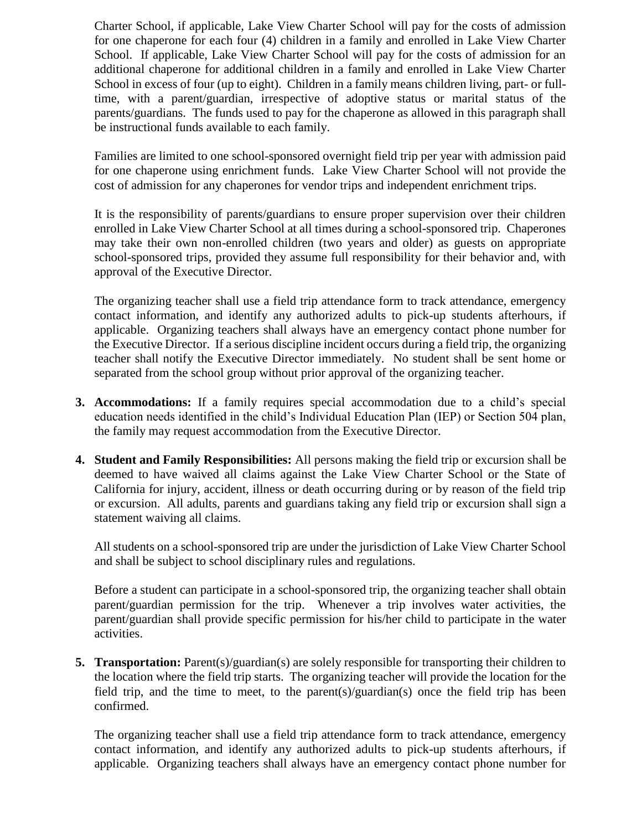Charter School, if applicable, Lake View Charter School will pay for the costs of admission for one chaperone for each four (4) children in a family and enrolled in Lake View Charter School. If applicable, Lake View Charter School will pay for the costs of admission for an additional chaperone for additional children in a family and enrolled in Lake View Charter School in excess of four (up to eight). Children in a family means children living, part- or fulltime, with a parent/guardian, irrespective of adoptive status or marital status of the parents/guardians. The funds used to pay for the chaperone as allowed in this paragraph shall be instructional funds available to each family.

Families are limited to one school-sponsored overnight field trip per year with admission paid for one chaperone using enrichment funds. Lake View Charter School will not provide the cost of admission for any chaperones for vendor trips and independent enrichment trips.

It is the responsibility of parents/guardians to ensure proper supervision over their children enrolled in Lake View Charter School at all times during a school-sponsored trip. Chaperones may take their own non-enrolled children (two years and older) as guests on appropriate school-sponsored trips, provided they assume full responsibility for their behavior and, with approval of the Executive Director.

The organizing teacher shall use a field trip attendance form to track attendance, emergency contact information, and identify any authorized adults to pick-up students afterhours, if applicable. Organizing teachers shall always have an emergency contact phone number for the Executive Director. If a serious discipline incident occurs during a field trip, the organizing teacher shall notify the Executive Director immediately. No student shall be sent home or separated from the school group without prior approval of the organizing teacher.

- **3. Accommodations:** If a family requires special accommodation due to a child's special education needs identified in the child's Individual Education Plan (IEP) or Section 504 plan, the family may request accommodation from the Executive Director.
- **4. Student and Family Responsibilities:** All persons making the field trip or excursion shall be deemed to have waived all claims against the Lake View Charter School or the State of California for injury, accident, illness or death occurring during or by reason of the field trip or excursion. All adults, parents and guardians taking any field trip or excursion shall sign a statement waiving all claims.

All students on a school-sponsored trip are under the jurisdiction of Lake View Charter School and shall be subject to school disciplinary rules and regulations.

Before a student can participate in a school-sponsored trip, the organizing teacher shall obtain parent/guardian permission for the trip. Whenever a trip involves water activities, the parent/guardian shall provide specific permission for his/her child to participate in the water activities.

**5. Transportation:** Parent(s)/guardian(s) are solely responsible for transporting their children to the location where the field trip starts. The organizing teacher will provide the location for the field trip, and the time to meet, to the parent(s)/guardian(s) once the field trip has been confirmed.

The organizing teacher shall use a field trip attendance form to track attendance, emergency contact information, and identify any authorized adults to pick-up students afterhours, if applicable. Organizing teachers shall always have an emergency contact phone number for